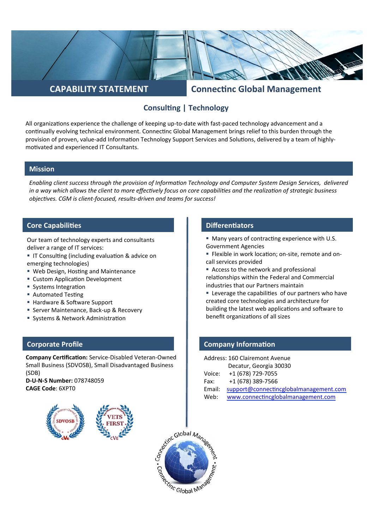# **CAPABILITY STATEMENT Connectinc Global Management**

# **Consulting | Technology**

All organizations experience the challenge of keeping up-to-date with fast-paced technology advancement and a continually evolving technical environment. Connectinc Global Management brings relief to this burden through the provision of proven, value-add Information Technology Support Services and Solutions, delivered by a team of highlymotivated and experienced IT Consultants.

## **Mission**

*Enabling client success through the provision of Information Technology and Computer System Design Services, delivered in a way which allows the client to more effectively focus on core capabilities and the realization of strategic business objectives.* CGM is client-focused, results-driven and teams for success!

## **Core Capabilities Core Capabilities Differentiators**

Our team of technology experts and consultants deliver a range of IT services:

- IT Consulting (including evaluation & advice on emerging technologies)
- Web Design, Hosting and Maintenance
- Custom Application Development
- Systems Integration
- Automated Testing
- Hardware & Software Support
- Server Maintenance, Back-up & Recovery
- Systems & Network Administration

## **Corporate Profile**

**Company Certification:** Service-Disabled Veteran-Owned Small Business (SDVOSB), Small Disadvantaged Business (SDB) 

**D-U-N-S Number:** 078748059 **CAGE Code**: 6XPT0



- Many years of contracting experience with U.S. Government Agencies
- Flexible in work location; on-site, remote and oncall services provided
- Access to the network and professional relationships within the Federal and Commercial industries that our Partners maintain
- Leverage the capabilities of our partners who have created core technologies and architecture for building the latest web applications and software to benefit organizations of all sizes

### **Company Information**

| Address: 160 Clairemont Avenue |                                        |
|--------------------------------|----------------------------------------|
|                                | Decatur, Georgia 30030                 |
| Voice:                         | +1 (678) 729-7055                      |
| Fax:                           | +1 (678) 389-7566                      |
| Email:                         | support@connectincglobalmanagement.com |
| Web:                           | www.connectincglobalmanagement.com     |